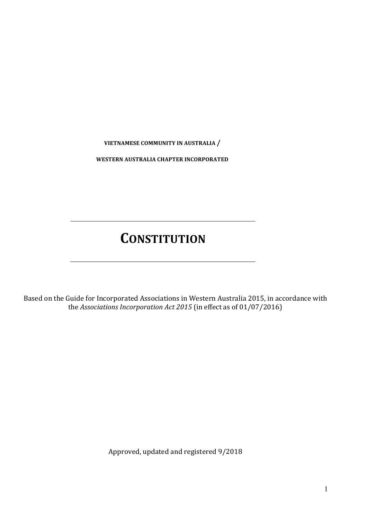**VIETNAMESE COMMUNITY IN AUSTRALIA** 

**WESTERN AUSTRALIA CHAPTER INCORPORATED**

# **CONSTITUTION**

Based on the Guide for Incorporated Associations in Western Australia 2015, in accordance with the *Associations Incorporation Act 2015* (in effect as of 01/07/2016)

Approved, updated and registered 9/2018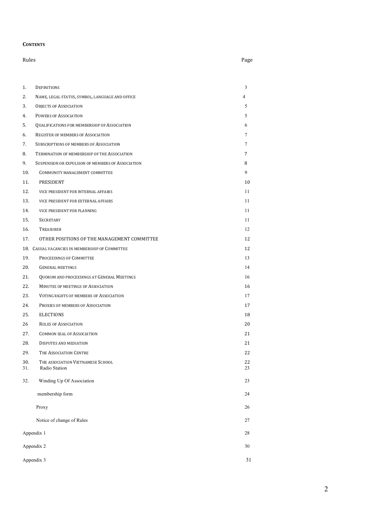#### **CONTENTS**

|            | Rules                                              |                |
|------------|----------------------------------------------------|----------------|
|            |                                                    |                |
|            |                                                    |                |
| 1.         | DEFINITIONS                                        | 3              |
| 2.         | NAME, LEGAL STATUS, SYMBOL, LANGUAGE AND OFFICE    | $\overline{4}$ |
| 3.         | <b>OBJECTS OF ASSOCIATION</b>                      | 5              |
| 4.         | POWERS OF ASSOCIATION                              | 5              |
| 5.         | QUALIFICATIONS FOR MEMBERSHIP OF ASSOCIATION       | 6              |
| 6.         | REGISTER OF MEMBERS OF ASSOCIATION                 | $\tau$         |
| 7.         | SUBSCRIPTIONS OF MEMBERS OF ASSOCIATION            | 7              |
| 8.         | TERMINATION OF MEMBERSHIP OF THE ASSOCIATION       | 7              |
| 9.         | SUSPENSION OR EXPULSION OF MEMBERS OF ASSOCIATION  | 8              |
| 10.        | COMMUNITY MANAGEMENT COMMITTEE                     | 9              |
| 11.        | PRESIDENT                                          | 10             |
| 12.        | VICE PRESIDENT FOR INTERNAL AFFAIRS                | 11             |
| 13.        | VICE PRESIDENT FOR EXTERNAL AFFAIRS                | 11             |
| 14.        | VICE PRESIDENT FOR PLANNING                        | 11             |
| 15.        | <b>SECRETARY</b>                                   | 11             |
| 16.        | <b>TREASURER</b>                                   | 12             |
| 17.        | OTHER POSITIONS OF THE MANAGEMENT COMMITTEE        | 12             |
|            | 18. CASUAL VACANCIES IN MEMBERSHIP OF COMMITTEE    | 12             |
| 19.        | PROCEEDINGS OF COMMITTEE                           | 13             |
| 20.        | <b>GENERAL MEETINGS</b>                            | 14             |
| 21.        | QUORUM AND PROCEEDINGS AT GENERAL MEETINGS         | 16             |
| 22.        | MINUTES OF MEETINGS OF ASSOCIATION                 | 16             |
| 23.        | VOTING RIGHTS OF MEMBERS OF ASSOCIATION            | 17             |
| 24.        | PROXIES OF MEMBERS OF ASSOCIATION                  | 17             |
| 25.        | <b>ELECTIONS</b>                                   | 18             |
| 26         | <b>RULES OF ASSOCIATION</b>                        | 20             |
| 27.        | <b>COMMON SEAL OF ASSOCIATION</b>                  | 21             |
| 28.        | <b>DISPUTES AND MEDIATION</b>                      | 21             |
| 29.        | THE ASSOCIATION CENTRE                             | 22             |
| 30.<br>31. | THE ASSOCIATION VIETNAMESE SCHOOL<br>Radio Station | 22<br>23       |
| 32.        | Winding Up Of Association                          | 23             |
|            | membership form                                    | 24             |
|            | Proxy                                              | 26             |
|            | Notice of change of Rules                          | $27\,$         |
|            | Appendix 1                                         | 28<br>30       |
| Appendix 2 |                                                    |                |
| Appendix 3 |                                                    |                |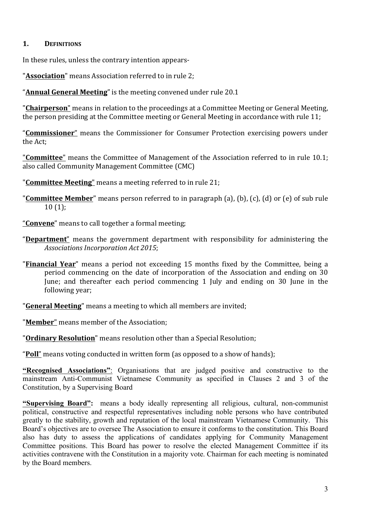# **1. DEFINITIONS**

In these rules, unless the contrary intention appears-

"**Association**" means Association referred to in rule 2;

"**Annual General Meeting**" is the meeting convened under rule 20.1

"**Chairperson**" means in relation to the proceedings at a Committee Meeting or General Meeting, the person presiding at the Committee meeting or General Meeting in accordance with rule 11;

"**Commissioner**" means the Commissioner for Consumer Protection exercising powers under the Act;

"**Committee**" means the Committee of Management of the Association referred to in rule 10.1; also called Community Management Committee (CMC)

"**Committee Meeting**" means a meeting referred to in rule 21;

"**Committee Member**" means person referred to in paragraph (a), (b), (c), (d) or (e) of sub rule  $10(1)$ ;

"**Convene**" means to call together a formal meeting;

- "Department" means the government department with responsibility for administering the Associations Incorporation Act 2015;
- "**Financial Year**" means a period not exceeding 15 months fixed by the Committee, being a period commencing on the date of incorporation of the Association and ending on 30 June; and thereafter each period commencing 1 July and ending on 30 June in the following year;

"**General Meeting**" means a meeting to which all members are invited;

"**Member**" means member of the Association:

"**Ordinary Resolution**" means resolution other than a Special Resolution;

"**Poll**" means voting conducted in written form (as opposed to a show of hands);

**"Recognised Associations"**: Organisations that are judged positive and constructive to the mainstream Anti-Communist Vietnamese Community as specified in Clauses 2 and 3 of the Constitution, by a Supervising Board

**"Supervising Board":** means a body ideally representing all religious, cultural, non-communist political, constructive and respectful representatives including noble persons who have contributed greatly to the stability, growth and reputation of the local mainstream Vietnamese Community. This Board's objectives are to oversee The Association to ensure it conforms to the constitution. This Board also has duty to assess the applications of candidates applying for Community Management Committee positions. This Board has power to resolve the elected Management Committee if its activities contravene with the Constitution in a majority vote. Chairman for each meeting is nominated by the Board members.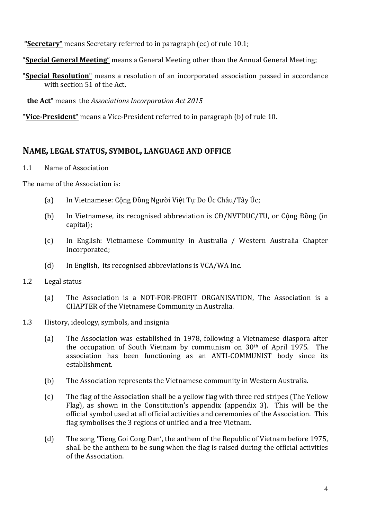**"Secretary**" means Secretary referred to in paragraph (ec) of rule 10.1;

- "**Special General Meeting**" means a General Meeting other than the Annual General Meeting;
- "**Special Resolution**" means a resolution of an incorporated association passed in accordance with section 51 of the Act.

**the Act**" means the *Associations Incorporation Act 2015* 

"Vice-President" means a Vice-President referred to in paragraph (b) of rule 10.

# **NAME, LEGAL STATUS, SYMBOL, LANGUAGE AND OFFICE**

#### 1.1 Name of Association

The name of the Association is:

- (a) In Vietnamese: Công Đồng Người Việt Tư Do Úc Châu/Tây Úc;
- (b) In Vietnamese, its recognised abbreviation is CĐ/NVTDUC/TU, or Công Đồng (in capital);
- (c) In English: Vietnamese Community in Australia / Western Australia Chapter Incorporated;
- (d) In English, its recognised abbreviations is VCA/WA Inc.
- 1.2 Legal status
	- (a) The Association is a NOT-FOR-PROFIT ORGANISATION, The Association is a CHAPTER of the Vietnamese Community in Australia.
- 1.3 History, ideology, symbols, and insignia
	- (a) The Association was established in 1978, following a Vietnamese diaspora after the occupation of South Vietnam by communism on  $30<sup>th</sup>$  of April 1975. The association has been functioning as an ANTI-COMMUNIST body since its establishment.
	- (b) The Association represents the Vietnamese community in Western Australia.
	- (c) The flag of the Association shall be a yellow flag with three red stripes (The Yellow Flag), as shown in the Constitution's appendix (appendix 3). This will be the official symbol used at all official activities and ceremonies of the Association. This flag symbolises the 3 regions of unified and a free Vietnam.
	- (d) The song 'Tieng Goi Cong Dan', the anthem of the Republic of Vietnam before 1975, shall be the anthem to be sung when the flag is raised during the official activities of the Association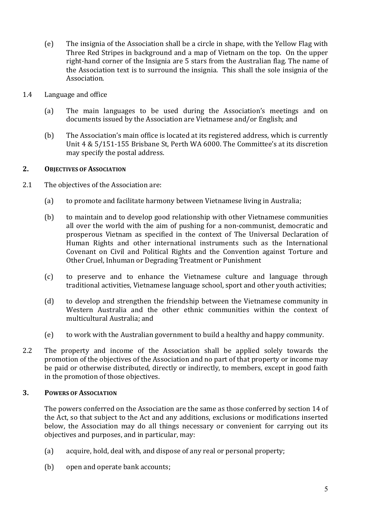- (e) The insignia of the Association shall be a circle in shape, with the Yellow Flag with Three Red Stripes in background and a map of Vietnam on the top. On the upper right-hand corner of the Insignia are 5 stars from the Australian flag. The name of the Association text is to surround the insignia. This shall the sole insignia of the Association.
- 1.4 Language and office
	- (a) The main languages to be used during the Association's meetings and on documents issued by the Association are Vietnamese and/or English; and
	- (b) The Association's main office is located at its registered address, which is currently Unit  $4 \& 5/151-155$  Brisbane St, Perth WA 6000. The Committee's at its discretion may specify the postal address.

# 2. **OBJECTIVES OF ASSOCIATION**

- 2.1 The objectives of the Association are:
	- (a) to promote and facilitate harmony between Vietnamese living in Australia;
	- (b) to maintain and to develop good relationship with other Vietnamese communities all over the world with the aim of pushing for a non-communist, democratic and prosperous Vietnam as specified in the context of The Universal Declaration of Human Rights and other international instruments such as the International Covenant on Civil and Political Rights and the Convention against Torture and Other Cruel, Inhuman or Degrading Treatment or Punishment
	- (c) to preserve and to enhance the Vietnamese culture and language through traditional activities, Vietnamese language school, sport and other vouth activities;
	- (d) to develop and strengthen the friendship between the Vietnamese community in Western Australia and the other ethnic communities within the context of multicultural Australia; and
	- $(e)$  to work with the Australian government to build a healthy and happy community.
- 2.2 The property and income of the Association shall be applied solely towards the promotion of the objectives of the Association and no part of that property or income may be paid or otherwise distributed, directly or indirectly, to members, except in good faith in the promotion of those objectives.

#### **3. POWERS OF ASSOCIATION**

The powers conferred on the Association are the same as those conferred by section 14 of the Act, so that subject to the Act and any additions, exclusions or modifications inserted below, the Association may do all things necessary or convenient for carrying out its objectives and purposes, and in particular, may:

- (a) acquire, hold, deal with, and dispose of any real or personal property;
- (b) open and operate bank accounts;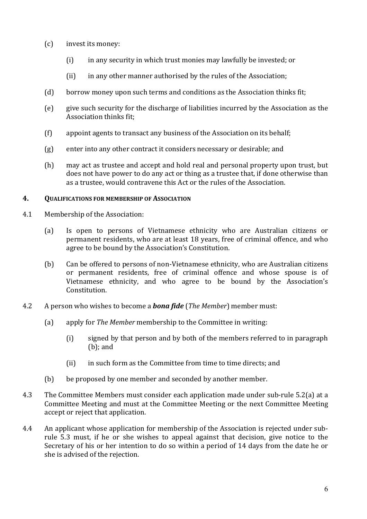- $(c)$  invest its money:
	- (i) in any security in which trust monies may lawfully be invested; or
	- (ii) in any other manner authorised by the rules of the Association;
- (d) borrow money upon such terms and conditions as the Association thinks fit;
- (e) give such security for the discharge of liabilities incurred by the Association as the Association thinks fit;
- $(f)$  appoint agents to transact any business of the Association on its behalf;
- $(g)$  enter into any other contract it considers necessary or desirable; and
- (h) may act as trustee and accept and hold real and personal property upon trust, but does not have power to do any act or thing as a trustee that, if done otherwise than as a trustee, would contravene this Act or the rules of the Association.

#### **4. QUALIFICATIONS FOR MEMBERSHIP OF ASSOCIATION**

- 4.1 Membership of the Association:
	- (a) Is open to persons of Vietnamese ethnicity who are Australian citizens or permanent residents, who are at least 18 years, free of criminal offence, and who agree to be bound by the Association's Constitution.
	- (b) Can be offered to persons of non-Vietnamese ethnicity, who are Australian citizens or permanent residents, free of criminal offence and whose spouse is of Vietnamese ethnicity, and who agree to be bound by the Association's Constitution.
- 4.2 A person who wishes to become a *bona fide* (*The Member*) member must:
	- (a) apply for *The Member* membership to the Committee in writing:
		- (i) signed by that person and by both of the members referred to in paragraph  $(b)$ ; and
		- (ii) in such form as the Committee from time to time directs; and
	- (b) be proposed by one member and seconded by another member.
- 4.3 The Committee Members must consider each application made under sub-rule 5.2(a) at a Committee Meeting and must at the Committee Meeting or the next Committee Meeting accept or reject that application.
- 4.4 An applicant whose application for membership of the Association is rejected under subrule 5.3 must, if he or she wishes to appeal against that decision, give notice to the Secretary of his or her intention to do so within a period of 14 days from the date he or she is advised of the rejection.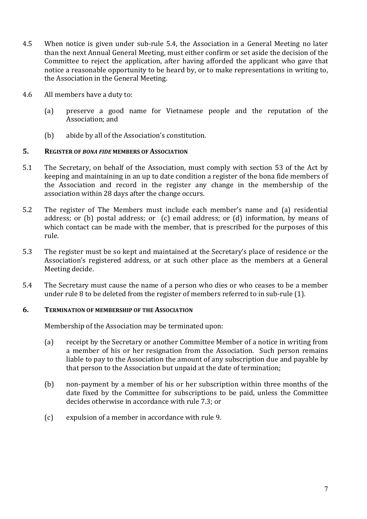- 4.5 When notice is given under sub-rule 5.4, the Association in a General Meeting no later than the next Annual General Meeting, must either confirm or set aside the decision of the Committee to reject the application, after having afforded the applicant who gave that notice a reasonable opportunity to be heard by, or to make representations in writing to, the Association in the General Meeting.
- 4.6 All members have a duty to:
	- (a) preserve a good name for Vietnamese people and the reputation of the Association: and
	- (b) abide by all of the Association's constitution.

#### 5. **REGISTER OF BONA FIDE MEMBERS OF ASSOCIATION**

- 5.1 The Secretary, on behalf of the Association, must comply with section 53 of the Act by keeping and maintaining in an up to date condition a register of the bona fide members of the Association and record in the register any change in the membership of the association within 28 days after the change occurs.
- 5.2 The register of The Members must include each member's name and (a) residential address; or (b) postal address; or  $(c)$  email address; or  $(d)$  information, by means of which contact can be made with the member, that is prescribed for the purposes of this rule.
- 5.3 The register must be so kept and maintained at the Secretary's place of residence or the Association's registered address, or at such other place as the members at a General Meeting decide.
- 5.4 The Secretary must cause the name of a person who dies or who ceases to be a member under rule  $8$  to be deleted from the register of members referred to in sub-rule  $(1)$ .

#### **6. TERMINATION OF MEMBERSHIP OF THE ASSOCIATION**

Membership of the Association may be terminated upon:

- (a) receipt by the Secretary or another Committee Member of a notice in writing from a member of his or her resignation from the Association. Such person remains liable to pay to the Association the amount of any subscription due and payable by that person to the Association but unpaid at the date of termination;
- (b) non-payment by a member of his or her subscription within three months of the date fixed by the Committee for subscriptions to be paid, unless the Committee decides otherwise in accordance with rule 7.3: or
- (c) expulsion of a member in accordance with rule 9.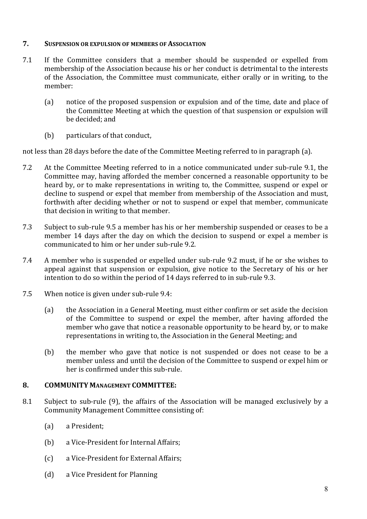#### **7.** SUSPENSION OR EXPULSION OF MEMBERS OF ASSOCIATION

- 7.1 If the Committee considers that a member should be suspended or expelled from membership of the Association because his or her conduct is detrimental to the interests of the Association, the Committee must communicate, either orally or in writing, to the member:
	- (a) notice of the proposed suspension or expulsion and of the time, date and place of the Committee Meeting at which the question of that suspension or expulsion will be decided; and
	- (b) particulars of that conduct.

not less than 28 days before the date of the Committee Meeting referred to in paragraph (a).

- 7.2 At the Committee Meeting referred to in a notice communicated under sub-rule 9.1, the Committee may, having afforded the member concerned a reasonable opportunity to be heard by, or to make representations in writing to, the Committee, suspend or expel or decline to suspend or expel that member from membership of the Association and must, forthwith after deciding whether or not to suspend or expel that member, communicate that decision in writing to that member.
- 7.3 Subject to sub-rule 9.5 a member has his or her membership suspended or ceases to be a member 14 days after the day on which the decision to suspend or expel a member is communicated to him or her under sub-rule 9.2.
- 7.4 A member who is suspended or expelled under sub-rule 9.2 must, if he or she wishes to appeal against that suspension or expulsion, give notice to the Secretary of his or her intention to do so within the period of 14 days referred to in sub-rule 9.3.
- 7.5 When notice is given under sub-rule 9.4:
	- (a) the Association in a General Meeting, must either confirm or set aside the decision of the Committee to suspend or expel the member, after having afforded the member who gave that notice a reasonable opportunity to be heard by, or to make representations in writing to, the Association in the General Meeting; and
	- (b) the member who gave that notice is not suspended or does not cease to be a member unless and until the decision of the Committee to suspend or expel him or her is confirmed under this sub-rule.

# 8. **COMMUNITY MANAGEMENT COMMITTEE:**

- 8.1 Subject to sub-rule (9), the affairs of the Association will be managed exclusively by a Community Management Committee consisting of:
	- (a) a President;
	- (b) a Vice-President for Internal Affairs;
	- (c) a Vice-President for External Affairs;
	- (d) a Vice President for Planning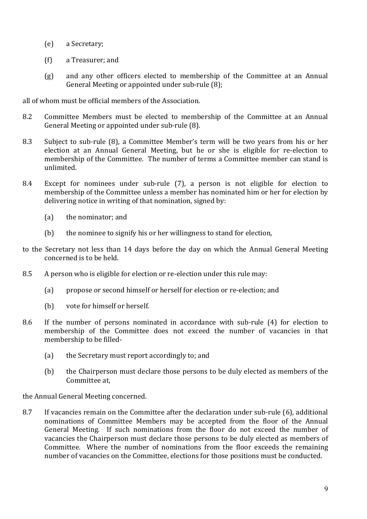- (e) a Secretary;
- (f) a Treasurer; and
- (g) and any other officers elected to membership of the Committee at an Annual General Meeting or appointed under sub-rule  $(8)$ ;

all of whom must be official members of the Association.

- 8.2 Committee Members must be elected to membership of the Committee at an Annual General Meeting or appointed under sub-rule (8).
- 8.3 Subject to sub-rule (8), a Committee Member's term will be two years from his or her election at an Annual General Meeting, but he or she is eligible for re-election to membership of the Committee. The number of terms a Committee member can stand is unlimited.
- 8.4 Except for nominees under sub-rule (7), a person is not eligible for election to membership of the Committee unless a member has nominated him or her for election by delivering notice in writing of that nomination, signed by:
	- $(a)$  the nominator; and
	- (b) the nominee to signify his or her willingness to stand for election,
- to the Secretary not less than 14 days before the day on which the Annual General Meeting concerned is to be held.
- 8.5 A person who is eligible for election or re-election under this rule may:
	- (a) propose or second himself or herself for election or re-election; and
	- (b) vote for himself or herself.
- 8.6 If the number of persons nominated in accordance with sub-rule (4) for election to membership of the Committee does not exceed the number of vacancies in that membership to be filled-
	- (a) the Secretary must report accordingly to; and
	- (b) the Chairperson must declare those persons to be duly elected as members of the Committee at,

the Annual General Meeting concerned.

8.7 If vacancies remain on the Committee after the declaration under sub-rule (6), additional nominations of Committee Members may be accepted from the floor of the Annual General Meeting. If such nominations from the floor do not exceed the number of vacancies the Chairperson must declare those persons to be duly elected as members of Committee. Where the number of nominations from the floor exceeds the remaining number of vacancies on the Committee, elections for those positions must be conducted.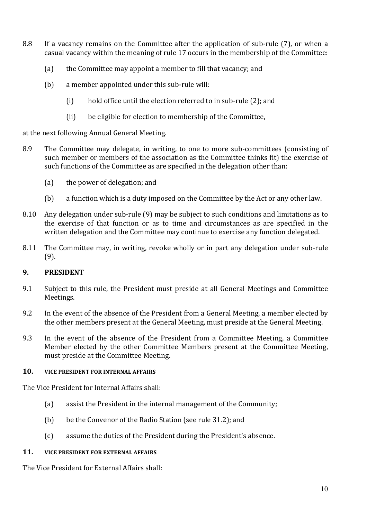- 8.8 If a vacancy remains on the Committee after the application of sub-rule (7), or when a casual vacancy within the meaning of rule 17 occurs in the membership of the Committee:
	- (a) the Committee may appoint a member to fill that vacancy; and
	- $(b)$  a member appointed under this sub-rule will:
		- (i) hold office until the election referred to in sub-rule  $(2)$ ; and
		- (ii) be eligible for election to membership of the Committee,

at the next following Annual General Meeting.

- 8.9 The Committee may delegate, in writing, to one to more sub-committees (consisting of such member or members of the association as the Committee thinks fit) the exercise of such functions of the Committee as are specified in the delegation other than:
	- (a) the power of delegation; and
	- (b) a function which is a duty imposed on the Committee by the Act or any other law.
- 8.10 Any delegation under sub-rule (9) may be subject to such conditions and limitations as to the exercise of that function or as to time and circumstances as are specified in the written delegation and the Committee may continue to exercise any function delegated.
- 8.11 The Committee may, in writing, revoke wholly or in part any delegation under sub-rule (9).

# **9. PRESIDENT**

- 9.1 Subject to this rule, the President must preside at all General Meetings and Committee Meetings.
- 9.2 In the event of the absence of the President from a General Meeting, a member elected by the other members present at the General Meeting, must preside at the General Meeting.
- 9.3 In the event of the absence of the President from a Committee Meeting, a Committee Member elected by the other Committee Members present at the Committee Meeting, must preside at the Committee Meeting.

#### **10. VICE PRESIDENT FOR INTERNAL AFFAIRS**

The Vice President for Internal Affairs shall:

- (a) assist the President in the internal management of the Community;
- (b) be the Convenor of the Radio Station (see rule 31.2); and
- (c) assume the duties of the President during the President's absence.

#### **11. VICE PRESIDENT FOR EXTERNAL AFFAIRS**

The Vice President for External Affairs shall: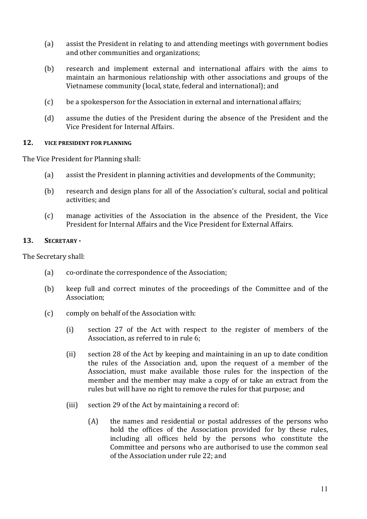- (a) assist the President in relating to and attending meetings with government bodies and other communities and organizations;
- (b) research and implement external and international affairs with the aims to maintain an harmonious relationship with other associations and groups of the Vietnamese community (local, state, federal and international); and
- $(c)$  be a spokesperson for the Association in external and international affairs;
- (d) assume the duties of the President during the absence of the President and the Vice President for Internal Affairs

#### **12. VICE PRESIDENT FOR PLANNING**

The Vice President for Planning shall:

- (a) assist the President in planning activities and developments of the Community;
- (b) research and design plans for all of the Association's cultural, social and political activities; and
- (c) manage activities of the Association in the absence of the President, the Vice President for Internal Affairs and the Vice President for External Affairs.

#### 13. **SECRETARY** -

The Secretary shall:

- (a) co-ordinate the correspondence of the Association;
- (b) keep full and correct minutes of the proceedings of the Committee and of the Association;
- (c) comply on behalf of the Association with:
	- $(i)$  section 27 of the Act with respect to the register of members of the Association, as referred to in rule 6;
	- (ii) section 28 of the Act by keeping and maintaining in an up to date condition the rules of the Association and, upon the request of a member of the Association, must make available those rules for the inspection of the member and the member may make a copy of or take an extract from the rules but will have no right to remove the rules for that purpose; and
	- (iii) section 29 of the Act by maintaining a record of:
		- $(A)$  the names and residential or postal addresses of the persons who hold the offices of the Association provided for by these rules, including all offices held by the persons who constitute the Committee and persons who are authorised to use the common seal of the Association under rule 22; and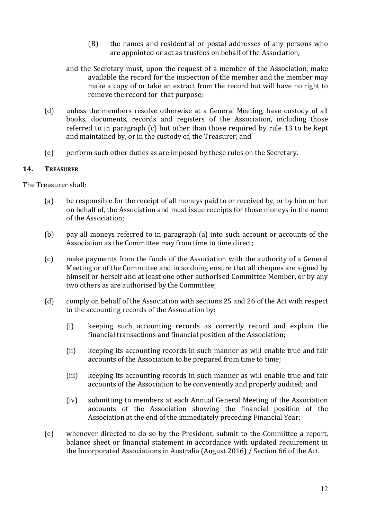- (B) the names and residential or postal addresses of any persons who are appointed or act as trustees on behalf of the Association,
- and the Secretary must, upon the request of a member of the Association, make available the record for the inspection of the member and the member may make a copy of or take an extract from the record but will have no right to remove the record for that purpose;
- (d) unless the members resolve otherwise at a General Meeting, have custody of all books, documents, records and registers of the Association, including those referred to in paragraph  $(c)$  but other than those required by rule 13 to be kept and maintained by, or in the custody of, the Treasurer; and
- (e) perform such other duties as are imposed by these rules on the Secretary.

#### **14. TREASURER**

The Treasurer shall:

- (a) be responsible for the receipt of all moneys paid to or received by, or by him or her on behalf of, the Association and must issue receipts for those moneys in the name of the Association:
- (b) pay all moneys referred to in paragraph  $(a)$  into such account or accounts of the Association as the Committee may from time to time direct;
- (c) make payments from the funds of the Association with the authority of a General Meeting or of the Committee and in so doing ensure that all cheques are signed by himself or herself and at least one other authorised Committee Member, or by any two others as are authorised by the Committee:
- (d) comply on behalf of the Association with sections 25 and 26 of the Act with respect to the accounting records of the Association by:
	- (i) keeping such accounting records as correctly record and explain the financial transactions and financial position of the Association;
	- (ii) keeping its accounting records in such manner as will enable true and fair accounts of the Association to be prepared from time to time;
	- (iii) keeping its accounting records in such manner as will enable true and fair accounts of the Association to be conveniently and properly audited; and
	- (iv) submitting to members at each Annual General Meeting of the Association accounts of the Association showing the financial position of the Association at the end of the immediately preceding Financial Year;
- (e) whenever directed to do so by the President, submit to the Committee a report, balance sheet or financial statement in accordance with updated requirement in the Incorporated Associations in Australia (August  $2016$ ) / Section 66 of the Act.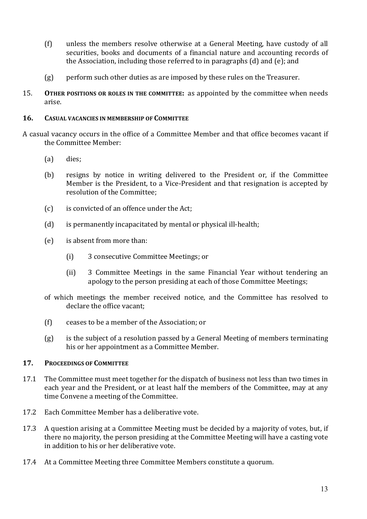- $(f)$  unless the members resolve otherwise at a General Meeting, have custody of all securities, books and documents of a financial nature and accounting records of the Association, including those referred to in paragraphs (d) and (e); and
- $(g)$  perform such other duties as are imposed by these rules on the Treasurer.
- 15. **OTHER POSITIONS OR ROLES IN THE COMMITTEE:** as appointed by the committee when needs arise.

#### **16. CASUAL VACANCIES IN MEMBERSHIP OF COMMITTEE**

- A casual vacancy occurs in the office of a Committee Member and that office becomes vacant if the Committee Member:
	- (a) dies;
	- (b) resigns by notice in writing delivered to the President or, if the Committee Member is the President, to a Vice-President and that resignation is accepted by resolution of the Committee:
	- (c) is convicted of an offence under the Act;
	- $(d)$  is permanently incapacitated by mental or physical ill-health;
	- (e) is absent from more than:
		- (i) 3 consecutive Committee Meetings; or
		- (ii) 3 Committee Meetings in the same Financial Year without tendering an apology to the person presiding at each of those Committee Meetings;
	- of which meetings the member received notice, and the Committee has resolved to declare the office vacant;
	- $(f)$  ceases to be a member of the Association; or
	- $(g)$  is the subject of a resolution passed by a General Meeting of members terminating his or her appointment as a Committee Member.

#### 17. **PROCEEDINGS OF COMMITTEE**

- 17.1 The Committee must meet together for the dispatch of business not less than two times in each year and the President, or at least half the members of the Committee, may at any time Convene a meeting of the Committee.
- 17.2 Each Committee Member has a deliberative vote.
- 17.3 A question arising at a Committee Meeting must be decided by a majority of votes, but, if there no majority, the person presiding at the Committee Meeting will have a casting vote in addition to his or her deliberative vote.
- 17.4 At a Committee Meeting three Committee Members constitute a quorum.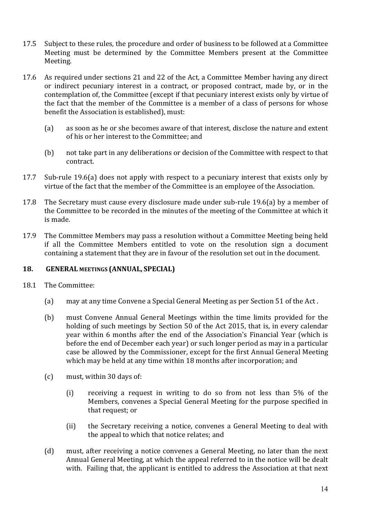- 17.5 Subject to these rules, the procedure and order of business to be followed at a Committee Meeting must be determined by the Committee Members present at the Committee Meeting.
- 17.6 As required under sections 21 and 22 of the Act, a Committee Member having any direct or indirect pecuniary interest in a contract, or proposed contract, made by, or in the contemplation of, the Committee (except if that pecuniary interest exists only by virtue of the fact that the member of the Committee is a member of a class of persons for whose benefit the Association is established), must:
	- (a) as soon as he or she becomes aware of that interest, disclose the nature and extent of his or her interest to the Committee; and
	- (b) not take part in any deliberations or decision of the Committee with respect to that contract.
- 17.7 Sub-rule 19.6(a) does not apply with respect to a pecuniary interest that exists only by virtue of the fact that the member of the Committee is an employee of the Association.
- 17.8 The Secretary must cause every disclosure made under sub-rule 19.6(a) by a member of the Committee to be recorded in the minutes of the meeting of the Committee at which it is made.
- 17.9 The Committee Members may pass a resolution without a Committee Meeting being held if all the Committee Members entitled to vote on the resolution sign a document containing a statement that they are in favour of the resolution set out in the document.

#### **18. GENERAL MEETINGS (ANNUAL, SPECIAL)**

- 18.1 The Committee:
	- (a) may at any time Convene a Special General Meeting as per Section 51 of the Act.
	- (b) must Convene Annual General Meetings within the time limits provided for the holding of such meetings by Section 50 of the Act 2015, that is, in every calendar year within 6 months after the end of the Association's Financial Year (which is before the end of December each year) or such longer period as may in a particular case be allowed by the Commissioner, except for the first Annual General Meeting which may be held at any time within 18 months after incorporation; and
	- (c) must, within 30 days of:
		- (i) receiving a request in writing to do so from not less than  $5\%$  of the Members, convenes a Special General Meeting for the purpose specified in that request; or
		- (ii) the Secretary receiving a notice, convenes a General Meeting to deal with the appeal to which that notice relates; and
	- (d) must, after receiving a notice convenes a General Meeting, no later than the next Annual General Meeting, at which the appeal referred to in the notice will be dealt with. Failing that, the applicant is entitled to address the Association at that next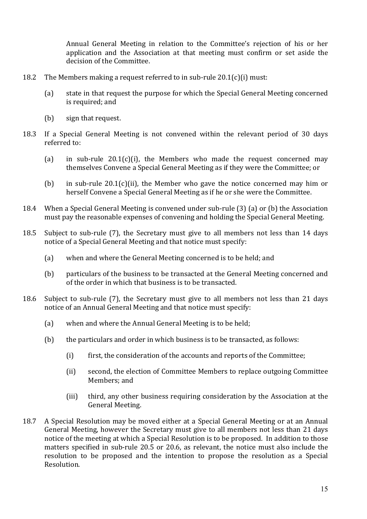Annual General Meeting in relation to the Committee's rejection of his or her application and the Association at that meeting must confirm or set aside the decision of the Committee.

- 18.2 The Members making a request referred to in sub-rule  $20.1(c)(i)$  must:
	- (a) state in that request the purpose for which the Special General Meeting concerned is required; and
	- (b) sign that request.
- 18.3 If a Special General Meeting is not convened within the relevant period of 30 days referred to:
	- (a) in sub-rule  $20.1(c)(i)$ , the Members who made the request concerned may themselves Convene a Special General Meeting as if they were the Committee; or
	- (b) in sub-rule  $20.1(c)$ (ii), the Member who gave the notice concerned may him or herself Convene a Special General Meeting as if he or she were the Committee.
- 18.4 When a Special General Meeting is convened under sub-rule (3) (a) or (b) the Association must pay the reasonable expenses of convening and holding the Special General Meeting.
- 18.5 Subject to sub-rule (7), the Secretary must give to all members not less than 14 days notice of a Special General Meeting and that notice must specify:
	- (a) when and where the General Meeting concerned is to be held; and
	- (b) particulars of the business to be transacted at the General Meeting concerned and of the order in which that business is to be transacted.
- 18.6 Subject to sub-rule (7), the Secretary must give to all members not less than 21 days notice of an Annual General Meeting and that notice must specify:
	- (a) when and where the Annual General Meeting is to be held;
	- (b) the particulars and order in which business is to be transacted, as follows:
		- (i) first, the consideration of the accounts and reports of the Committee;
		- (ii) second, the election of Committee Members to replace outgoing Committee Members; and
		- (iii) third, any other business requiring consideration by the Association at the General Meeting.
- 18.7 A Special Resolution may be moved either at a Special General Meeting or at an Annual General Meeting, however the Secretary must give to all members not less than 21 days notice of the meeting at which a Special Resolution is to be proposed. In addition to those matters specified in sub-rule 20.5 or 20.6, as relevant, the notice must also include the resolution to be proposed and the intention to propose the resolution as a Special Resolution.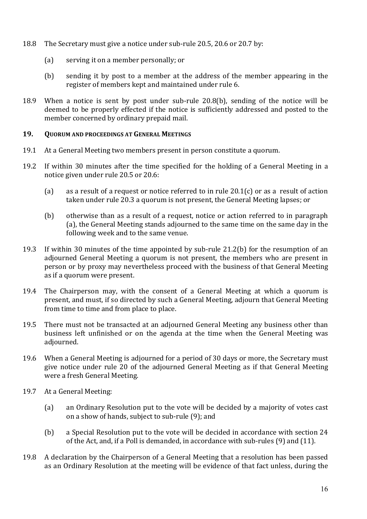- 18.8 The Secretary must give a notice under sub-rule 20.5, 20.6 or 20.7 by:
	- (a) serving it on a member personally; or
	- (b) sending it by post to a member at the address of the member appearing in the register of members kept and maintained under rule 6.
- 18.9 When a notice is sent by post under sub-rule  $20.8(b)$ , sending of the notice will be deemed to be properly effected if the notice is sufficiently addressed and posted to the member concerned by ordinary prepaid mail.

#### **19. QUORUM AND PROCEEDINGS AT GENERAL MEETINGS**

- 19.1 At a General Meeting two members present in person constitute a quorum.
- 19.2 If within 30 minutes after the time specified for the holding of a General Meeting in a notice given under rule 20.5 or 20.6:
	- (a) as a result of a request or notice referred to in rule  $20.1(c)$  or as a result of action taken under rule 20.3 a quorum is not present, the General Meeting lapses; or
	- (b) otherwise than as a result of a request, notice or action referred to in paragraph (a), the General Meeting stands adjourned to the same time on the same day in the following week and to the same venue.
- 19.3 If within 30 minutes of the time appointed by sub-rule  $21.2(b)$  for the resumption of an adjourned General Meeting a quorum is not present, the members who are present in person or by proxy may nevertheless proceed with the business of that General Meeting as if a quorum were present.
- 19.4 The Chairperson may, with the consent of a General Meeting at which a quorum is present, and must, if so directed by such a General Meeting, adjourn that General Meeting from time to time and from place to place.
- 19.5 There must not be transacted at an adjourned General Meeting any business other than business left unfinished or on the agenda at the time when the General Meeting was adjourned.
- 19.6 When a General Meeting is adjourned for a period of 30 days or more, the Secretary must give notice under rule 20 of the adjourned General Meeting as if that General Meeting were a fresh General Meeting.
- 19.7 At a General Meeting:
	- (a) an Ordinary Resolution put to the vote will be decided by a majority of votes cast on a show of hands, subject to sub-rule  $(9)$ ; and
	- (b) a Special Resolution put to the vote will be decided in accordance with section 24 of the Act, and, if a Poll is demanded, in accordance with sub-rules  $(9)$  and  $(11)$ .
- 19.8 A declaration by the Chairperson of a General Meeting that a resolution has been passed as an Ordinary Resolution at the meeting will be evidence of that fact unless, during the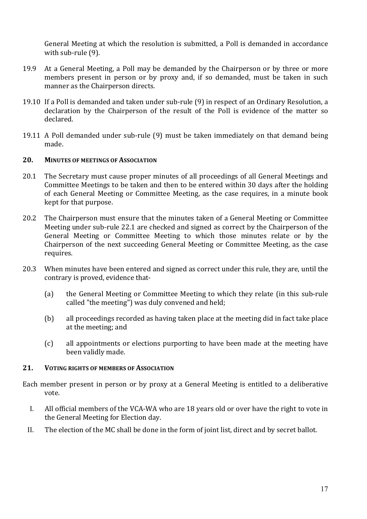General Meeting at which the resolution is submitted, a Poll is demanded in accordance with sub-rule (9).

- 19.9 At a General Meeting, a Poll may be demanded by the Chairperson or by three or more members present in person or by proxy and, if so demanded, must be taken in such manner as the Chairperson directs.
- 19.10 If a Poll is demanded and taken under sub-rule (9) in respect of an Ordinary Resolution, a declaration by the Chairperson of the result of the Poll is evidence of the matter so declared.
- 19.11 A Poll demanded under sub-rule (9) must be taken immediately on that demand being made.

#### **20. MINUTES OF MEETINGS OF ASSOCIATION**

- 20.1 The Secretary must cause proper minutes of all proceedings of all General Meetings and Committee Meetings to be taken and then to be entered within 30 days after the holding of each General Meeting or Committee Meeting, as the case requires, in a minute book kept for that purpose.
- 20.2 The Chairperson must ensure that the minutes taken of a General Meeting or Committee Meeting under sub-rule 22.1 are checked and signed as correct by the Chairperson of the General Meeting or Committee Meeting to which those minutes relate or by the Chairperson of the next succeeding General Meeting or Committee Meeting, as the case requires.
- 20.3 When minutes have been entered and signed as correct under this rule, they are, until the contrary is proved, evidence that-
	- (a) the General Meeting or Committee Meeting to which they relate (in this sub-rule called "the meeting") was duly convened and held;
	- (b) all proceedings recorded as having taken place at the meeting did in fact take place at the meeting; and
	- (c) all appointments or elections purporting to have been made at the meeting have been validly made.

#### 21. **VOTING RIGHTS OF MEMBERS OF ASSOCIATION**

Each member present in person or by proxy at a General Meeting is entitled to a deliberative vote.

- I. All official members of the VCA-WA who are 18 years old or over have the right to vote in the General Meeting for Election day.
- II. The election of the MC shall be done in the form of joint list, direct and by secret ballot.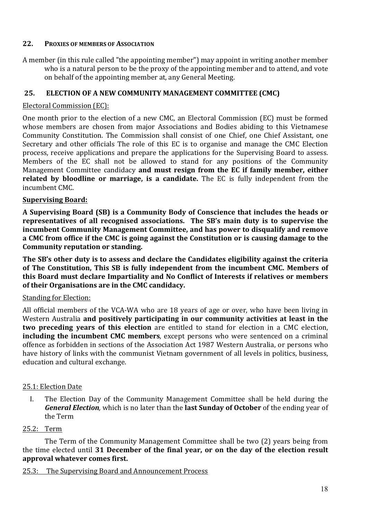# 22. **PROXIES OF MEMBERS OF ASSOCIATION**

A member (in this rule called "the appointing member") may appoint in writing another member who is a natural person to be the proxy of the appointing member and to attend, and vote on behalf of the appointing member at, any General Meeting.

# 25. ELECTION OF A NEW COMMUNITY MANAGEMENT COMMITTEE (CMC)

#### Electoral Commission (EC):

One month prior to the election of a new CMC, an Electoral Commission (EC) must be formed whose members are chosen from major Associations and Bodies abiding to this Vietnamese Community Constitution. The Commission shall consist of one Chief, one Chief Assistant, one Secretary and other officials The role of this EC is to organise and manage the CMC Election process, receive applications and prepare the applications for the Supervising Board to assess. Members of the EC shall not be allowed to stand for any positions of the Community Management Committee candidacy **and must resign from the EC** if family member, either **related by bloodline or marriage, is a candidate.** The EC is fully independent from the incumbent CMC.

# **Supervising Board:**

A Supervising Board (SB) is a Community Body of Conscience that includes the heads or representatives of all recognised associations. The SB's main duty is to supervise the **incumbent Community Management Committee, and has power to disqualify and remove** a CMC from office if the CMC is going against the Constitution or is causing damage to the **Community reputation or standing.** 

The SB's other duty is to assess and declare the Candidates eligibility against the criteria of The Constitution, This SB is fully independent from the incumbent CMC. Members of this Board must declare Impartiality and No Conflict of Interests if relatives or members of their Organisations are in the CMC candidacy.

# Standing for Election:

All official members of the VCA-WA who are 18 years of age or over, who have been living in Western Australia and positively participating in our community activities at least in the **two preceding years of this election** are entitled to stand for election in a CMC election, **including the incumbent CMC members**, except persons who were sentenced on a criminal offence as forbidden in sections of the Association Act 1987 Western Australia, or persons who have history of links with the communist Vietnam government of all levels in politics, business, education and cultural exchange.

#### 25.1: Election Date

I. The Election Day of the Community Management Committee shall be held during the *General Election*, which is no later than the **last Sunday of October** of the ending year of the Term 

# 25.2: Term

The Term of the Community Management Committee shall be two (2) years being from the time elected until **31 December of the final year, or on the day of the election result approval whatever comes first.**

#### 25.3: The Supervising Board and Announcement Process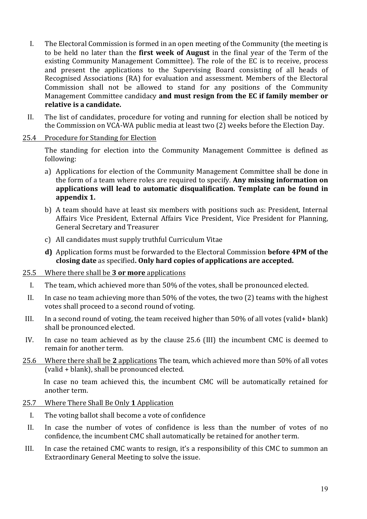- I. The Electoral Commission is formed in an open meeting of the Community (the meeting is to be held no later than the **first week of August** in the final year of the Term of the existing Community Management Committee). The role of the EC is to receive, process and present the applications to the Supervising Board consisting of all heads of Recognised Associations (RA) for evaluation and assessment. Members of the Electoral Commission shall not be allowed to stand for any positions of the Community Management Committee candidacy and must resign from the EC if family member or relative is a candidate.
- II. The list of candidates, procedure for voting and running for election shall be noticed by the Commission on VCA-WA public media at least two (2) weeks before the Election Day.
- 25.4 Procedure for Standing for Election

The standing for election into the Community Management Committee is defined as following:

- a) Applications for election of the Community Management Committee shall be done in the form of a team where roles are required to specify. **Any missing information on** applications will lead to automatic disqualification. Template can be found in **appendix 1.**
- b) A team should have at least six members with positions such as: President, Internal Affairs Vice President, External Affairs Vice President, Vice President for Planning, General Secretary and Treasurer
- c) All candidates must supply truthful Curriculum Vitae
- **d)** Application forms must be forwarded to the Electoral Commission **before 4PM** of the **closing date** as specified. Only hard copies of applications are accepted.

# 25.5 Where there shall be **3 or more** applications

- I. The team, which achieved more than 50% of the votes, shall be pronounced elected.
- II. In case no team achieving more than  $50\%$  of the votes, the two (2) teams with the highest votes shall proceed to a second round of voting.
- III. In a second round of voting, the team received higher than  $50\%$  of all votes (valid+ blank) shall be pronounced elected.
- IV. In case no team achieved as by the clause 25.6 (III) the incumbent CMC is deemed to remain for another term.
- 25.6 Where there shall be 2 applications The team, which achieved more than 50% of all votes  $\alpha$  (valid + blank), shall be pronounced elected.

In case no team achieved this, the incumbent CMC will be automatically retained for another term.

#### 25.7 Where There Shall Be Only 1 Application

- I. The voting ballot shall become a vote of confidence
- II. In case the number of votes of confidence is less than the number of votes of no confidence, the incumbent CMC shall automatically be retained for another term.
- III. In case the retained CMC wants to resign, it's a responsibility of this CMC to summon an Extraordinary General Meeting to solve the issue.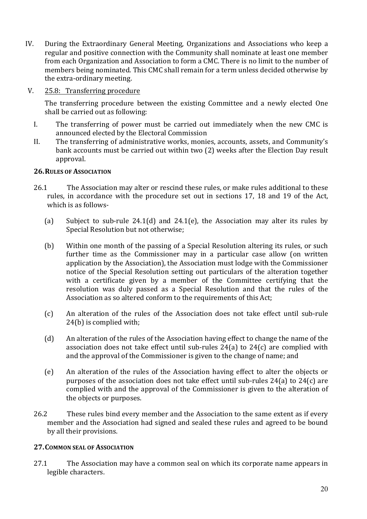- IV. During the Extraordinary General Meeting, Organizations and Associations who keep a regular and positive connection with the Community shall nominate at least one member from each Organization and Association to form a CMC. There is no limit to the number of members being nominated. This CMC shall remain for a term unless decided otherwise by the extra-ordinary meeting.
- V. 25.8: Transferring procedure

The transferring procedure between the existing Committee and a newly elected One shall be carried out as following:

- I. The transferring of power must be carried out immediately when the new CMC is announced elected by the Electoral Commission
- II. The transferring of administrative works, monies, accounts, assets, and Community's bank accounts must be carried out within two (2) weeks after the Election Day result approval.

# **26. RULES OF ASSOCIATION**

- 26.1 The Association may alter or rescind these rules, or make rules additional to these rules, in accordance with the procedure set out in sections 17, 18 and 19 of the Act, which is as follows-
	- (a) Subject to sub-rule 24.1(d) and 24.1(e), the Association may alter its rules by Special Resolution but not otherwise;
	- (b) Within one month of the passing of a Special Resolution altering its rules, or such further time as the Commissioner may in a particular case allow (on written application by the Association), the Association must lodge with the Commissioner notice of the Special Resolution setting out particulars of the alteration together with a certificate given by a member of the Committee certifying that the resolution was duly passed as a Special Resolution and that the rules of the Association as so altered conform to the requirements of this Act;
	- (c) An alteration of the rules of the Association does not take effect until sub-rule  $24(b)$  is complied with;
	- (d) An alteration of the rules of the Association having effect to change the name of the association does not take effect until sub-rules  $24(a)$  to  $24(c)$  are complied with and the approval of the Commissioner is given to the change of name; and
	- (e) An alteration of the rules of the Association having effect to alter the objects or purposes of the association does not take effect until sub-rules  $24(a)$  to  $24(c)$  are complied with and the approval of the Commissioner is given to the alteration of the objects or purposes.
- 26.2 These rules bind every member and the Association to the same extent as if every member and the Association had signed and sealed these rules and agreed to be bound by all their provisions.

#### **27. COMMON SEAL OF ASSOCIATION**

27.1 The Association may have a common seal on which its corporate name appears in legible characters.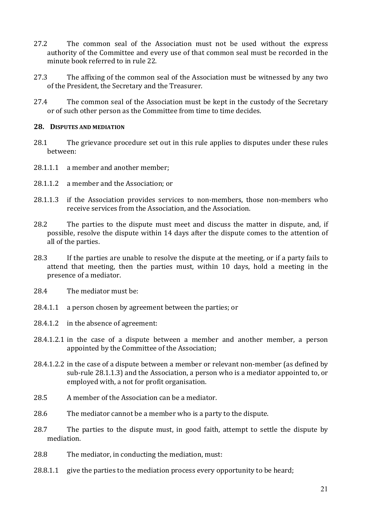- 27.2 The common seal of the Association must not be used without the express authority of the Committee and every use of that common seal must be recorded in the minute book referred to in rule 22.
- 27.3 The affixing of the common seal of the Association must be witnessed by any two of the President, the Secretary and the Treasurer.
- 27.4 The common seal of the Association must be kept in the custody of the Secretary or of such other person as the Committee from time to time decides.

#### 28. DISPUTES AND MEDIATION

- 28.1 The grievance procedure set out in this rule applies to disputes under these rules between:
- 28.1.1.1 a member and another member;
- 28.1.1.2 a member and the Association; or
- $28.1.1.3$  if the Association provides services to non-members, those non-members who receive services from the Association, and the Association.
- 28.2 The parties to the dispute must meet and discuss the matter in dispute, and, if possible, resolve the dispute within 14 days after the dispute comes to the attention of all of the parties.
- 28.3 If the parties are unable to resolve the dispute at the meeting, or if a party fails to attend that meeting, then the parties must, within 10 days, hold a meeting in the presence of a mediator.
- $28.4$  The mediator must be:
- $28.4.1.1$  a person chosen by agreement between the parties; or
- 28.4.1.2 in the absence of agreement:
- $28.4.1.2.1$  in the case of a dispute between a member and another member, a person appointed by the Committee of the Association;
- 28.4.1.2.2 in the case of a dispute between a member or relevant non-member (as defined by sub-rule 28.1.1.3) and the Association, a person who is a mediator appointed to, or employed with, a not for profit organisation.
- 28.5 A member of the Association can be a mediator.
- 28.6 The mediator cannot be a member who is a party to the dispute.
- 28.7 The parties to the dispute must, in good faith, attempt to settle the dispute by mediation.
- 28.8 The mediator, in conducting the mediation, must:
- $28.8.1.1$  give the parties to the mediation process every opportunity to be heard;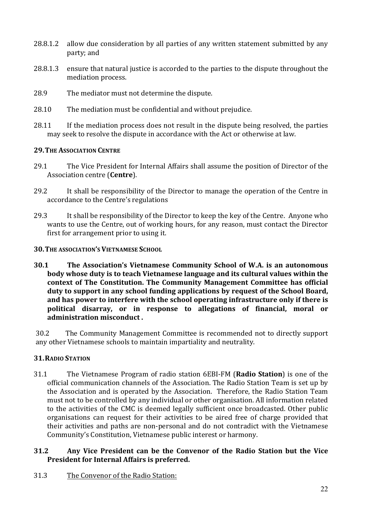- 28.8.1.2 allow due consideration by all parties of any written statement submitted by any party; and
- 28.8.1.3 ensure that natural justice is accorded to the parties to the dispute throughout the mediation process.
- 28.9 The mediator must not determine the dispute.
- 28.10 The mediation must be confidential and without prejudice.
- 28.11 If the mediation process does not result in the dispute being resolved, the parties may seek to resolve the dispute in accordance with the Act or otherwise at law.

#### **29. THE ASSOCIATION CENTRE**

- 29.1 The Vice President for Internal Affairs shall assume the position of Director of the Association centre (**Centre**).
- 29.2 It shall be responsibility of the Director to manage the operation of the Centre in accordance to the Centre's regulations
- 29.3 It shall be responsibility of the Director to keep the key of the Centre. Anyone who wants to use the Centre, out of working hours, for any reason, must contact the Director first for arrangement prior to using it.
- **30. THE ASSOCIATION'S VIETNAMESE SCHOOL**
- **30.1** The Association's Vietnamese Community School of W.A. is an autonomous body whose duty is to teach Vietnamese language and its cultural values within the context of The Constitution. The Community Management Committee has official duty to support in any school funding applications by request of the School Board, and has power to interfere with the school operating infrastructure only if there is **political disarray, or in response to allegations of financial, moral or administration misconduct .**

30.2 The Community Management Committee is recommended not to directly support any other Vietnamese schools to maintain impartiality and neutrality.

# **31.RADIO STATION**

31.1 The Vietnamese Program of radio station 6EBI-FM (**Radio Station**) is one of the official communication channels of the Association. The Radio Station Team is set up by the Association and is operated by the Association. Therefore, the Radio Station Team must not to be controlled by any individual or other organisation. All information related to the activities of the CMC is deemed legally sufficient once broadcasted. Other public organisations can request for their activities to be aired free of charge provided that their activities and paths are non-personal and do not contradict with the Vietnamese Community's Constitution, Vietnamese public interest or harmony.

# **31.2 Any Vice President can be the Convenor of the Radio Station but the Vice President for Internal Affairs is preferred.**

31.3 The Convenor of the Radio Station: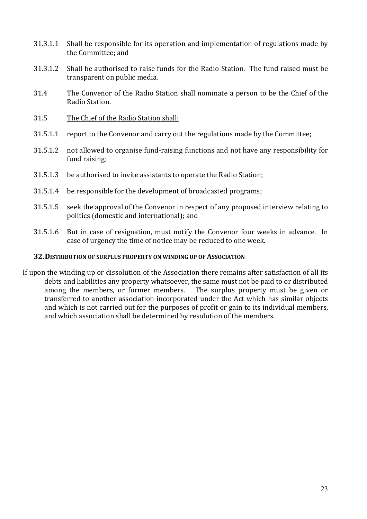- 31.3.1.1 Shall be responsible for its operation and implementation of regulations made by the Committee: and
- 31.3.1.2 Shall be authorised to raise funds for the Radio Station. The fund raised must be transparent on public media.
- 31.4 The Convenor of the Radio Station shall nominate a person to be the Chief of the Radio Station.
- 31.5 The Chief of the Radio Station shall:
- 31.5.1.1 report to the Convenor and carry out the regulations made by the Committee;
- 31.5.1.2 not allowed to organise fund-raising functions and not have any responsibility for fund raising;
- 31.5.1.3 be authorised to invite assistants to operate the Radio Station;
- 31.5.1.4 be responsible for the development of broadcasted programs;
- 31.5.1.5 seek the approval of the Convenor in respect of any proposed interview relating to politics (domestic and international); and
- 31.5.1.6 But in case of resignation, must notify the Convenor four weeks in advance. In case of urgency the time of notice may be reduced to one week.

#### **32. DISTRIBUTION OF SURPLUS PROPERTY ON WINDING UP OF ASSOCIATION**

If upon the winding up or dissolution of the Association there remains after satisfaction of all its debts and liabilities any property whatsoever, the same must not be paid to or distributed among the members, or former members. The surplus property must be given or transferred to another association incorporated under the Act which has similar objects and which is not carried out for the purposes of profit or gain to its individual members, and which association shall be determined by resolution of the members.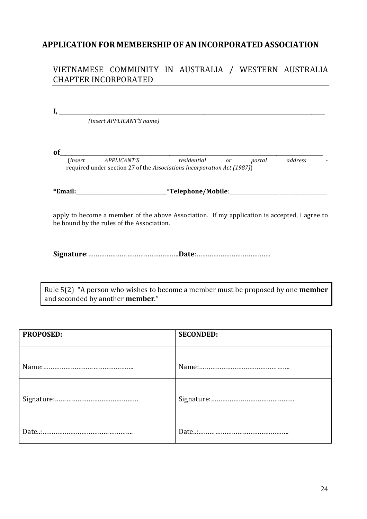# **APPLICATION FOR MEMBERSHIP OF AN INCORPORATED ASSOCIATION**

# VIETNAMESE COMMUNITY IN AUSTRALIA / WESTERN AUSTRALIA CHAPTER INCORPORATED

| (Insert APPLICANT'S name)                                                                                                                 |                         |  |  |  |  |
|-------------------------------------------------------------------------------------------------------------------------------------------|-------------------------|--|--|--|--|
|                                                                                                                                           |                         |  |  |  |  |
| оf                                                                                                                                        |                         |  |  |  |  |
| APPLICANT'S residential<br><i>(insert)</i><br>required under section 27 of the Associations Incorporation Act (1987))                     | address<br>postal<br>or |  |  |  |  |
|                                                                                                                                           |                         |  |  |  |  |
| *Email:_________________________________*Telephone/Mobile:_______________________                                                         |                         |  |  |  |  |
| apply to become a member of the above Association. If my application is accepted, I agree to<br>be bound by the rules of the Association. |                         |  |  |  |  |
|                                                                                                                                           |                         |  |  |  |  |
|                                                                                                                                           |                         |  |  |  |  |

Rule 5(2) "A person who wishes to become a member must be proposed by one **member** and seconded by another **member**."

| PROPOSED: | <b>SECONDED:</b> |
|-----------|------------------|
|           |                  |
|           |                  |
|           |                  |
|           |                  |
|           |                  |
|           |                  |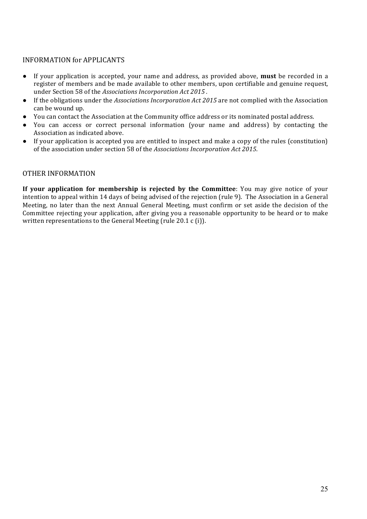#### INFORMATION for APPLICANTS

- If your application is accepted, your name and address, as provided above, **must** be recorded in a register of members and be made available to other members, upon certifiable and genuine request, under Section 58 of the *Associations Incorporation Act 2015*.
- If the obligations under the *Associations Incorporation Act 2015* are not complied with the Association can be wound up.
- You can contact the Association at the Community office address or its nominated postal address.
- You can access or correct personal information (your name and address) by contacting the Association as indicated above.
- If your application is accepted you are entitled to inspect and make a copy of the rules (constitution) of the association under section 58 of the *Associations Incorporation Act 2015*.

#### OTHER INFORMATION

**If your application for membership is rejected by the Committee:** You may give notice of your intention to appeal within 14 days of being advised of the rejection (rule 9). The Association in a General Meeting, no later than the next Annual General Meeting, must confirm or set aside the decision of the Committee rejecting your application, after giving you a reasonable opportunity to be heard or to make written representations to the General Meeting (rule 20.1  $c$  (i)).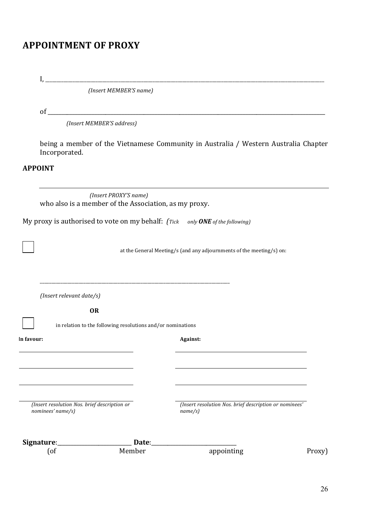# **APPOINTMENT OF PROXY**

|                | I,                                                                |                       |                                                                                     |        |  |  |
|----------------|-------------------------------------------------------------------|-----------------------|-------------------------------------------------------------------------------------|--------|--|--|
|                | (Insert MEMBER'S name)                                            |                       |                                                                                     |        |  |  |
|                |                                                                   |                       |                                                                                     |        |  |  |
|                | (Insert MEMBER'S address)                                         |                       |                                                                                     |        |  |  |
|                | Incorporated.                                                     |                       | being a member of the Vietnamese Community in Australia / Western Australia Chapter |        |  |  |
| <b>APPOINT</b> |                                                                   |                       |                                                                                     |        |  |  |
|                | who also is a member of the Association, as my proxy.             | (Insert PROXY'S name) |                                                                                     |        |  |  |
|                |                                                                   |                       | My proxy is authorised to vote on my behalf: (Tick only ONE of the following)       |        |  |  |
|                |                                                                   |                       | at the General Meeting/s (and any adjournments of the meeting/s) on:                |        |  |  |
|                | (Insert relevant date/s)                                          |                       |                                                                                     |        |  |  |
|                | <b>OR</b>                                                         |                       |                                                                                     |        |  |  |
|                | in relation to the following resolutions and/or nominations       |                       |                                                                                     |        |  |  |
| In favour:     |                                                                   |                       | Against:                                                                            |        |  |  |
|                |                                                                   |                       |                                                                                     |        |  |  |
|                |                                                                   |                       |                                                                                     |        |  |  |
|                | (Insert resolution Nos. brief description or<br>nominees' name/s) |                       | (Insert resolution Nos. brief description or nominees'<br>name/s)                   |        |  |  |
|                | Signature:                                                        | Date:                 |                                                                                     |        |  |  |
|                | $[$ of                                                            | Member                | appointing                                                                          | Proxy) |  |  |
|                |                                                                   |                       |                                                                                     |        |  |  |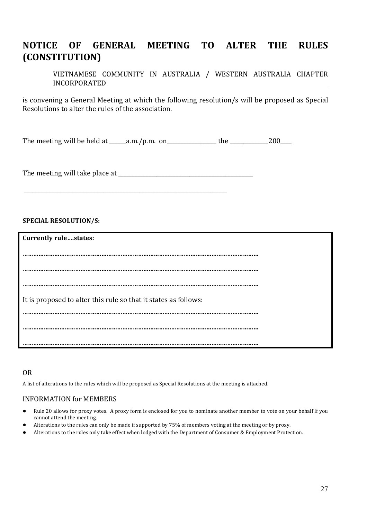# **NOTICE OF GENERAL MEETING TO ALTER THE RULES (CONSTITUTION)**

VIETNAMESE COMMUNITY IN AUSTRALIA / WESTERN AUSTRALIA CHAPTER INCORPORATED

is convening a General Meeting at which the following resolution/s will be proposed as Special Resolutions to alter the rules of the association.

The meeting will be held at  $\_\_\_\_\_\$ n.m. on $\_\_\_\_\_\_\_\_\_\_\$ the  $\_\_\_\_\_\_\_\_200\_\_\_\_\_\_200$ 

The meeting will take place at \_\_\_\_\_\_\_\_\_\_\_\_\_\_\_\_\_\_\_\_\_\_\_\_\_\_\_\_\_\_\_\_\_\_\_\_\_\_\_\_\_\_\_\_\_\_\_\_\_

\_\_\_\_\_\_\_\_\_\_\_\_\_\_\_\_\_\_\_\_\_\_\_\_\_\_\_\_\_\_\_\_\_\_\_\_\_\_\_\_\_\_\_\_\_\_\_\_\_\_\_\_\_\_\_\_\_\_\_\_\_\_\_\_\_\_\_\_\_\_\_\_\_\_

#### **SPECIAL RESOLUTION/S:**

| <b>Currently rulestates:</b>                                    |  |
|-----------------------------------------------------------------|--|
|                                                                 |  |
|                                                                 |  |
| .                                                               |  |
|                                                                 |  |
| It is proposed to alter this rule so that it states as follows: |  |
|                                                                 |  |
|                                                                 |  |
|                                                                 |  |
|                                                                 |  |

#### OR

A list of alterations to the rules which will be proposed as Special Resolutions at the meeting is attached.

#### INFORMATION for MEMBERS

- Rule 20 allows for proxy votes. A proxy form is enclosed for you to nominate another member to vote on your behalf if you cannot attend the meeting.
- Alterations to the rules can only be made if supported by 75% of members voting at the meeting or by proxy.
- Alterations to the rules only take effect when lodged with the Department of Consumer & Employment Protection.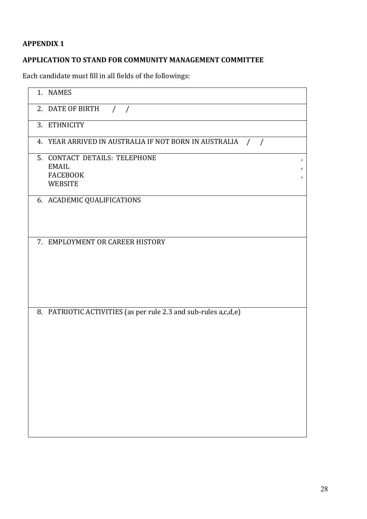# **APPENDIX 1**

# **APPLICATION TO STAND FOR COMMUNITY MANAGEMENT COMMITTEE**

Each candidate must fill in all fields of the followings:

| 1. NAMES                                                                                      |  |
|-----------------------------------------------------------------------------------------------|--|
| 2. DATE OF BIRTH<br>$\left  \right $                                                          |  |
| 3. ETHNICITY                                                                                  |  |
| 4. YEAR ARRIVED IN AUSTRALIA IF NOT BORN IN AUSTRALIA<br>$\frac{1}{2}$                        |  |
| 5. CONTACT DETAILS: TELEPHONE<br>$\,$<br><b>EMAIL</b><br>,<br><b>FACEBOOK</b><br>,<br>WEBSITE |  |
| 6. ACADEMIC QUALIFICATIONS                                                                    |  |
| 7. EMPLOYMENT OR CAREER HISTORY                                                               |  |
| 8. PATRIOTIC ACTIVITIES (as per rule 2.3 and sub-rules a,c,d,e)                               |  |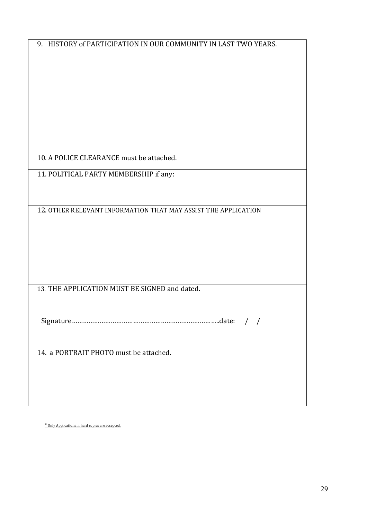| 9. HISTORY of PARTICIPATION IN OUR COMMUNITY IN LAST TWO YEARS. |  |  |
|-----------------------------------------------------------------|--|--|
|                                                                 |  |  |
|                                                                 |  |  |
|                                                                 |  |  |
|                                                                 |  |  |
|                                                                 |  |  |
|                                                                 |  |  |
| 10. A POLICE CLEARANCE must be attached.                        |  |  |
| 11. POLITICAL PARTY MEMBERSHIP if any:                          |  |  |
|                                                                 |  |  |
| 12. OTHER RELEVANT INFORMATION THAT MAY ASSIST THE APPLICATION  |  |  |
|                                                                 |  |  |
|                                                                 |  |  |
|                                                                 |  |  |
|                                                                 |  |  |
| 13. THE APPLICATION MUST BE SIGNED and dated.                   |  |  |
|                                                                 |  |  |
|                                                                 |  |  |
|                                                                 |  |  |
| 14. a PORTRAIT PHOTO must be attached.                          |  |  |
|                                                                 |  |  |
|                                                                 |  |  |
|                                                                 |  |  |
|                                                                 |  |  |

\* Only Applications in hard copies are accepted.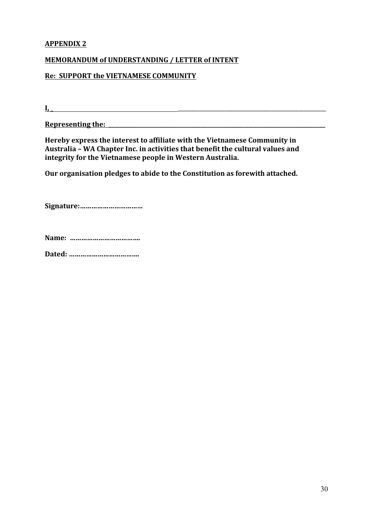# **APPENDIX 2**

#### **MEMORANDUM of UNDERSTANDING / LETTER of INTENT**

#### **Re: SUPPORT the VIETNAMESE COMMUNITY**

 ${\bf I}, \_$ 

**Representing the: \_\_\_\_\_\_\_\_\_\_\_\_\_\_\_\_\_\_\_\_\_\_\_\_\_\_\_\_\_\_\_\_\_\_\_\_\_\_\_\_\_\_\_\_\_\_\_\_\_\_\_\_\_\_\_\_\_\_\_\_\_\_\_\_\_\_\_\_\_\_\_\_\_\_\_\_\_\_\_** 

Hereby express the interest to affiliate with the Vietnamese Community in Australia - WA Chapter Inc. in activities that benefit the cultural values and integrity for the Vietnamese people in Western Australia.

**Our organisation pledges to abide to the Constitution as forewith attached.** 

**Signature:……………………………**

**Name: ……………………………….**

**Dated: ……………………………….**